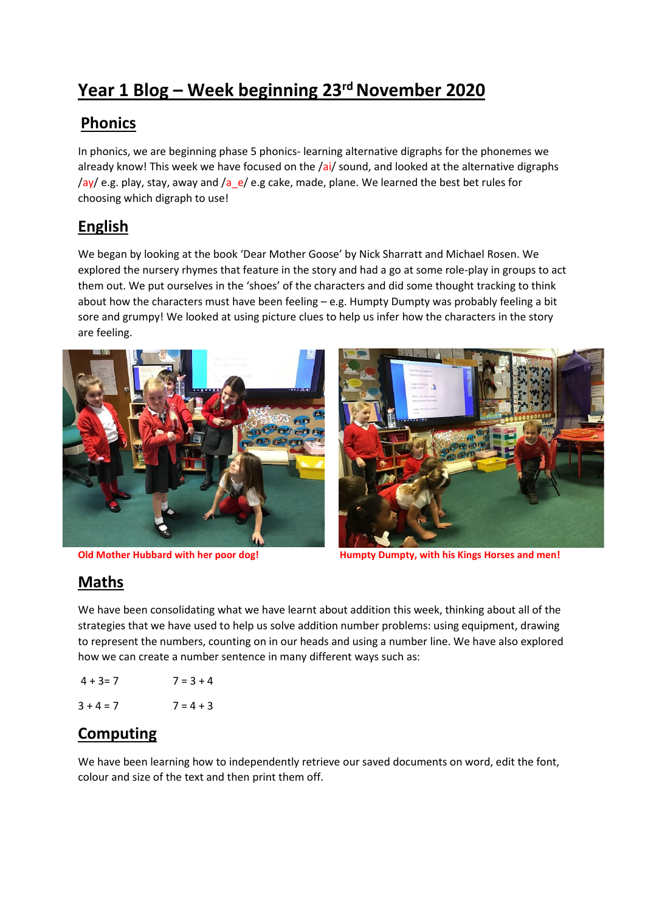# **Year 1 Blog – Week beginning 23rd November 2020**

# **Phonics**

In phonics, we are beginning phase 5 phonics- learning alternative digraphs for the phonemes we already know! This week we have focused on the /ai/ sound, and looked at the alternative digraphs  $\gamma$ ay/ e.g. play, stay, away and  $\gamma$ a e/ e.g cake, made, plane. We learned the best bet rules for choosing which digraph to use!

## **English**

We began by looking at the book 'Dear Mother Goose' by Nick Sharratt and Michael Rosen. We explored the nursery rhymes that feature in the story and had a go at some role-play in groups to act them out. We put ourselves in the 'shoes' of the characters and did some thought tracking to think about how the characters must have been feeling – e.g. Humpty Dumpty was probably feeling a bit sore and grumpy! We looked at using picture clues to help us infer how the characters in the story are feeling.





**Old Mother Hubbard with her poor dog! Humpty Dumpty, with his Kings Horses and men!**

### **Maths**

We have been consolidating what we have learnt about addition this week, thinking about all of the strategies that we have used to help us solve addition number problems: using equipment, drawing to represent the numbers, counting on in our heads and using a number line. We have also explored how we can create a number sentence in many different ways such as:

| $4 + 3 = 7$ | $7 = 3 + 4$ |
|-------------|-------------|
| $3 + 4 = 7$ | $7 = 4 + 3$ |

# **Computing**

We have been learning how to independently retrieve our saved documents on word, edit the font, colour and size of the text and then print them off.